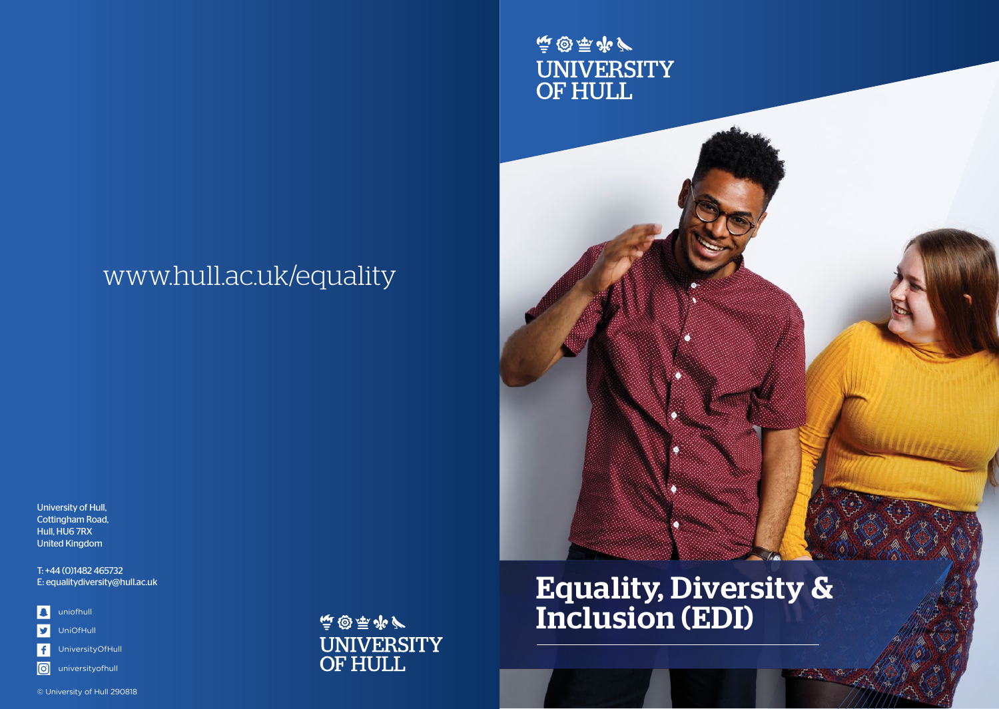# www.hull.ac.uk/equality

University of Hull, Cottingham Road, Hull, HU6 7RX United Kingdom

T: +44 (0)1482 465732 E: equalitydiversity@hull.ac.uk

 $\overline{\mathbf{E}}$ uniofhull

 $\overline{\mathbf{y}}$ UniOfHull

UniversityOfHull

**o** universityofhull

© University of Hull 290818

**惊感原源/** UNIVERSITY<br>OF HULL

# Equality, Diversity & Inclusion (EDI)

 $\mathcal{L}$  ,  $\mathcal{L}$  ,  $\mathcal{L}$ 

**惊趣要严** 

UNIVERSITY<br>OF HULL